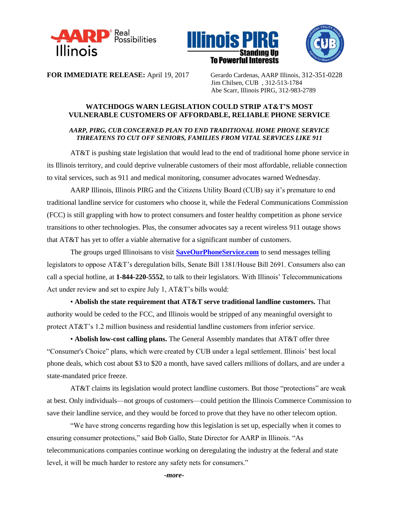





**FOR IMMEDIATE RELEASE:** April 19, 2017 Gerardo Cardenas, AARP Illinois, 312-351-0228

Jim Chilsen, CUB , 312-513-1784 Abe Scarr, Illinois PIRG, 312-983-2789

## **WATCHDOGS WARN LEGISLATION COULD STRIP AT&T'S MOST VULNERABLE CUSTOMERS OF AFFORDABLE, RELIABLE PHONE SERVICE**

## *AARP, PIRG, CUB CONCERNED PLAN TO END TRADITIONAL HOME PHONE SERVICE THREATENS TO CUT OFF SENIORS, FAMILIES FROM VITAL SERVICES LIKE 911*

AT&T is pushing state legislation that would lead to the end of traditional home phone service in its Illinois territory, and could deprive vulnerable customers of their most affordable, reliable connection to vital services, such as 911 and medical monitoring, consumer advocates warned Wednesday.

AARP Illinois, Illinois PIRG and the Citizens Utility Board (CUB) say it's premature to end traditional landline service for customers who choose it, while the Federal Communications Commission (FCC) is still grappling with how to protect consumers and foster healthy competition as phone service transitions to other technologies. Plus, the consumer advocates say a recent wireless 911 outage shows that AT&T has yet to offer a viable alternative for a significant number of customers.

The groups urged Illinoisans to visit **[SaveOurPhoneService.com](http://www.saveourphoneservice.com/)** to send messages telling legislators to oppose AT&T's deregulation bills, Senate Bill 1381/House Bill 2691. Consumers also can call a special hotline, at **1-844-220-5552**, to talk to their legislators. With Illinois' Telecommunications Act under review and set to expire July 1, AT&T's bills would:

• **Abolish the state requirement that AT&T serve traditional landline customers.** That authority would be ceded to the FCC, and Illinois would be stripped of any meaningful oversight to protect AT&T's 1.2 million business and residential landline customers from inferior service.

• **Abolish low-cost calling plans.** The General Assembly mandates that AT&T offer three "Consumer's Choice" plans, which were created by CUB under a legal settlement. Illinois' best local phone deals, which cost about \$3 to \$20 a month, have saved callers millions of dollars, and are under a state-mandated price freeze.

AT&T claims its legislation would protect landline customers. But those "protections" are weak at best. Only individuals—not groups of customers—could petition the Illinois Commerce Commission to save their landline service, and they would be forced to prove that they have no other telecom option.

"We have strong concerns regarding how this legislation is set up, especially when it comes to ensuring consumer protections," said Bob Gallo, State Director for AARP in Illinois. "As telecommunications companies continue working on deregulating the industry at the federal and state level, it will be much harder to restore any safety nets for consumers."

*-more-*